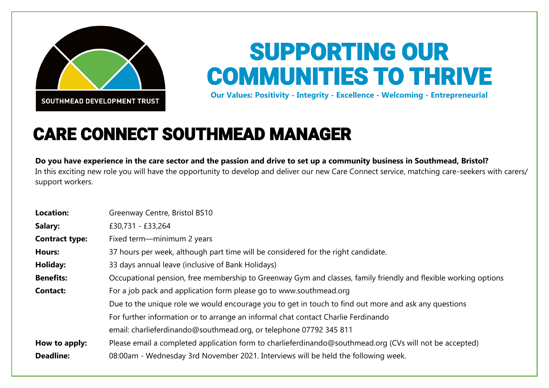

## SUPPORTING OUR COMMUNITIES TO THRIVE

**Our Values: Positivity - Integrity - Excellence - Welcoming - Entrepreneurial**

## CARE CONNECT SOUTHMEAD MANAGER

**Do you have experience in the care sector and the passion and drive to set up a community business in Southmead, Bristol?** In this exciting new role you will have the opportunity to develop and deliver our new Care Connect service, matching care-seekers with carers/ support workers.

| <b>Location:</b>      | Greenway Centre, Bristol BS10                                                                                   |
|-----------------------|-----------------------------------------------------------------------------------------------------------------|
| Salary:               | £30,731 - £33,264                                                                                               |
| <b>Contract type:</b> | Fixed term-minimum 2 years                                                                                      |
| <b>Hours:</b>         | 37 hours per week, although part time will be considered for the right candidate.                               |
| Holiday:              | 33 days annual leave (inclusive of Bank Holidays)                                                               |
| <b>Benefits:</b>      | Occupational pension, free membership to Greenway Gym and classes, family friendly and flexible working options |
| <b>Contact:</b>       | For a job pack and application form please go to www.southmead.org                                              |
|                       | Due to the unique role we would encourage you to get in touch to find out more and ask any questions            |
|                       | For further information or to arrange an informal chat contact Charlie Ferdinando                               |
|                       | email: charlieferdinando@southmead.org, or telephone 07792 345 811                                              |
| How to apply:         | Please email a completed application form to charlieferdinando@southmead.org (CVs will not be accepted)         |
| <b>Deadline:</b>      | 08:00am - Wednesday 3rd November 2021. Interviews will be held the following week.                              |